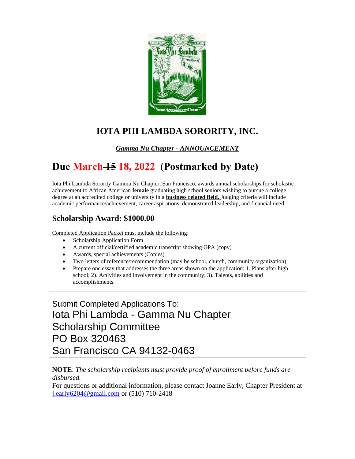

## **IOTA PHI LAMBDA SORORITY, INC.**

*Gamma Nu Chapter - ANNOUNCEMENT* 

# **Due March 15 18, 2022 (Postmarked by Date)**

Iota Phi Lambda Sorority Gamma Nu Chapter, San Francisco, awards annual scholarships for scholastic achievement to African American **female** graduating high school seniors wishing to pursue a college degree at an accredited college or university in a **business related field.** Judging criteria will include academic performance/achievement, career aspirations, demonstrated leadership, and financial need.

### **Scholarship Award: \$1000.00**

Completed Application Packet must include the following:

- Scholarship Application Form
- A current official/certified academic transcript showing GPA (copy)
- Awards, special achievements (Copies)
- Two letters of reference/recommendation (may be school, church, community organization)
- Prepare one essay that addresses the three areas shown on the application: 1. Plans after high school; 2). Activities and involvement in the community; 3). Talents, abilities and accomplishments.

Submit Completed Applications To: Iota Phi Lambda - Gamma Nu Chapter Scholarship Committee PO Box 320463 San Francisco CA 94132-0463

#### **NOTE**: *The scholarship recipients must provide proof of enrollment before funds are disbursed.*

For questions or additional information, please contact Joanne Early, Chapter President at [j.early6204@gmail.com](mailto:j.early6204@gmail.com) or (510) 710-2418